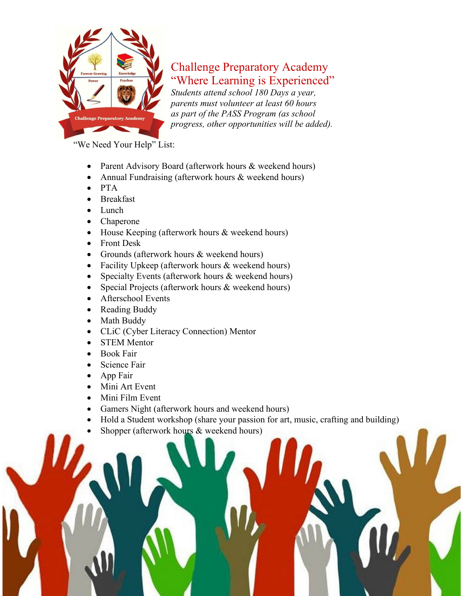

## Challenge Preparatory Academy "Where Learning is Experienced"

*Students attend school 180 Days a year, parents must volunteer at least 60 hours as part of the PASS Program (as school progress, other opportunities will be added).*

"We Need Your Help" List:

- Parent Advisory Board (afterwork hours & weekend hours)
- Annual Fundraising (afterwork hours & weekend hours)
- PTA
- **Breakfast**
- Lunch
- Chaperone
- House Keeping (afterwork hours & weekend hours)
- Front Desk
- Grounds (afterwork hours & weekend hours)
- Facility Upkeep (afterwork hours & weekend hours)
- Specialty Events (afterwork hours & weekend hours)
- Special Projects (afterwork hours & weekend hours)
- Afterschool Events
- Reading Buddy
- Math Buddy
- CLiC (Cyber Literacy Connection) Mentor
- **STEM Mentor**
- Book Fair
- Science Fair
- App Fair
- Mini Art Event
- Mini Film Event
- Gamers Night (afterwork hours and weekend hours)
- Hold a Student workshop (share your passion for art, music, crafting and building)

Challenge Preparatory Academy \* Parent Volunteer Packet \* 2022-23 School Year Point of Contact: Dr. Willis, School Principal \* 706-431-7298 \* info@challengeprepacademy.org

Shopper (afterwork hours & weekend hours)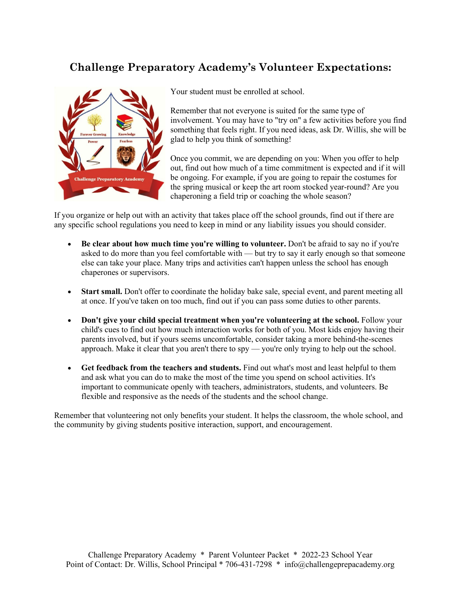## **Challenge Preparatory Academy's Volunteer Expectations:**



Your student must be enrolled at school.

Remember that not everyone is suited for the same type of involvement. You may have to "try on" a few activities before you find something that feels right. If you need ideas, ask Dr. Willis, she will be glad to help you think of something!

Once you commit, we are depending on you: When you offer to help out, find out how much of a time commitment is expected and if it will be ongoing. For example, if you are going to repair the costumes for the spring musical or keep the art room stocked year-round? Are you chaperoning a field trip or coaching the whole season?

If you organize or help out with an activity that takes place off the school grounds, find out if there are any specific school regulations you need to keep in mind or any liability issues you should consider.

- **Be clear about how much time you're willing to volunteer.** Don't be afraid to say no if you're asked to do more than you feel comfortable with — but try to say it early enough so that someone else can take your place. Many trips and activities can't happen unless the school has enough chaperones or supervisors.
- **Start small.** Don't offer to coordinate the holiday bake sale, special event, and parent meeting all at once. If you've taken on too much, find out if you can pass some duties to other parents.
- **Don't give your child special treatment when you're volunteering at the school.** Follow your child's cues to find out how much interaction works for both of you. Most kids enjoy having their parents involved, but if yours seems uncomfortable, consider taking a more behind-the-scenes approach. Make it clear that you aren't there to spy — you're only trying to help out the school.
- **Get feedback from the teachers and students.** Find out what's most and least helpful to them and ask what you can do to make the most of the time you spend on school activities. It's important to communicate openly with teachers, administrators, students, and volunteers. Be flexible and responsive as the needs of the students and the school change.

Remember that volunteering not only benefits your student. It helps the classroom, the whole school, and the community by giving students positive interaction, support, and encouragement.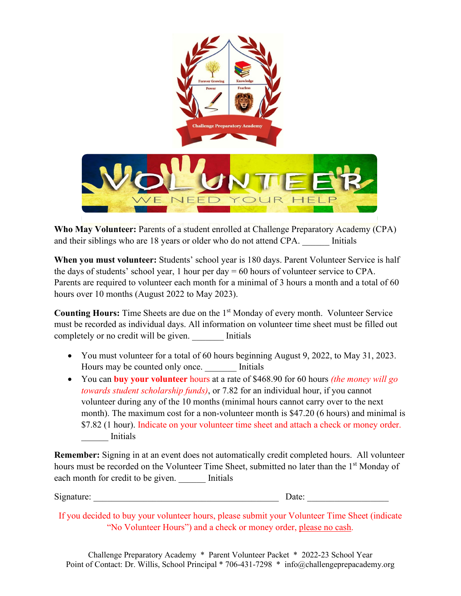

 **Who M[ay Volun](http://www.vindhyabachao.org/get-involved/volunteer)teer:** Parents of a student en[rolled at](https://creativecommons.org/licenses/by-sa/3.0/) Challenge Preparatory Academy (CPA) and their siblings who are 18 years or older who do not attend CPA. Initials

**When you must volunteer:** Students' school year is 180 days. Parent Volunteer Service is half the days of students' school year, 1 hour per day  $= 60$  hours of volunteer service to CPA. Parents are required to volunteer each month for a minimal of 3 hours a month and a total of 60 hours over 10 months (August 2022 to May 2023).

**Counting Hours:** Time Sheets are due on the 1<sup>st</sup> Monday of every month. Volunteer Service must be recorded as individual days. All information on volunteer time sheet must be filled out completely or no credit will be given. Initials

- You must volunteer for a total of 60 hours beginning August 9, 2022, to May 31, 2023. Hours may be counted only once. Initials
- You can **buy your volunteer** hours at a rate of \$468.90 for 60 hours *(the money will go towards student scholarship funds)*, or 7.82 for an individual hour, if you cannot volunteer during any of the 10 months (minimal hours cannot carry over to the next month). The maximum cost for a non-volunteer month is \$47.20 (6 hours) and minimal is \$7.82 (1 hour). Indicate on your volunteer time sheet and attach a check or money order. \_\_\_\_\_\_ Initials

**Remember:** Signing in at an event does not automatically credit completed hours. All volunteer hours must be recorded on the Volunteer Time Sheet, submitted no later than the 1<sup>st</sup> Monday of each month for credit to be given. Initials

Signature: <u>Date:</u> 2014

If you decided to buy your volunteer hours, please submit your Volunteer Time Sheet (indicate "No Volunteer Hours") and a check or money order, please no cash.